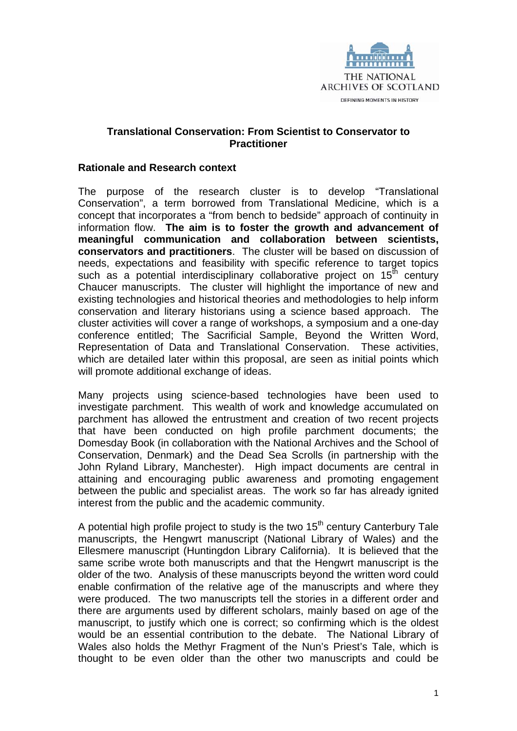

# **Translational Conservation: From Scientist to Conservator to Practitioner**

## **Rationale and Research context**

The purpose of the research cluster is to develop "Translational Conservation", a term borrowed from Translational Medicine, which is a concept that incorporates a "from bench to bedside" approach of continuity in information flow. **The aim is to foster the growth and advancement of meaningful communication and collaboration between scientists, conservators and practitioners**. The cluster will be based on discussion of needs, expectations and feasibility with specific reference to target topics such as a potential interdisciplinary collaborative project on  $15<sup>th</sup>$  century Chaucer manuscripts. The cluster will highlight the importance of new and existing technologies and historical theories and methodologies to help inform conservation and literary historians using a science based approach. The cluster activities will cover a range of workshops, a symposium and a one-day conference entitled; The Sacrificial Sample, Beyond the Written Word, Representation of Data and Translational Conservation. These activities, which are detailed later within this proposal, are seen as initial points which will promote additional exchange of ideas.

Many projects using science-based technologies have been used to investigate parchment. This wealth of work and knowledge accumulated on parchment has allowed the entrustment and creation of two recent projects that have been conducted on high profile parchment documents; the Domesday Book (in collaboration with the National Archives and the School of Conservation, Denmark) and the Dead Sea Scrolls (in partnership with the John Ryland Library, Manchester). High impact documents are central in attaining and encouraging public awareness and promoting engagement between the public and specialist areas. The work so far has already ignited interest from the public and the academic community.

A potential high profile project to study is the two  $15<sup>th</sup>$  century Canterbury Tale manuscripts, the Hengwrt manuscript (National Library of Wales) and the Ellesmere manuscript (Huntingdon Library California). It is believed that the same scribe wrote both manuscripts and that the Hengwrt manuscript is the older of the two. Analysis of these manuscripts beyond the written word could enable confirmation of the relative age of the manuscripts and where they were produced. The two manuscripts tell the stories in a different order and there are arguments used by different scholars, mainly based on age of the manuscript, to justify which one is correct; so confirming which is the oldest would be an essential contribution to the debate. The National Library of Wales also holds the Methyr Fragment of the Nun's Priest's Tale, which is thought to be even older than the other two manuscripts and could be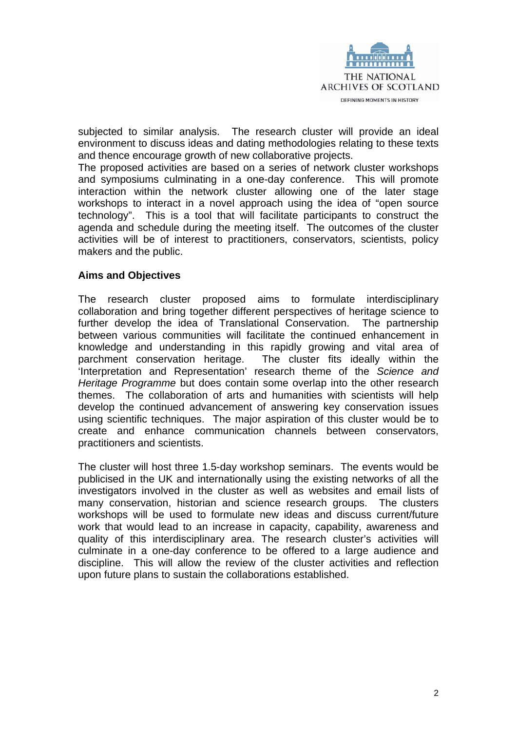

subjected to similar analysis. The research cluster will provide an ideal environment to discuss ideas and dating methodologies relating to these texts and thence encourage growth of new collaborative projects.

The proposed activities are based on a series of network cluster workshops and symposiums culminating in a one-day conference. This will promote interaction within the network cluster allowing one of the later stage workshops to interact in a novel approach using the idea of "open source technology". This is a tool that will facilitate participants to construct the agenda and schedule during the meeting itself. The outcomes of the cluster activities will be of interest to practitioners, conservators, scientists, policy makers and the public.

#### **Aims and Objectives**

The research cluster proposed aims to formulate interdisciplinary collaboration and bring together different perspectives of heritage science to further develop the idea of Translational Conservation. The partnership between various communities will facilitate the continued enhancement in knowledge and understanding in this rapidly growing and vital area of parchment conservation heritage. The cluster fits ideally within the 'Interpretation and Representation' research theme of the *Science and Heritage Programme* but does contain some overlap into the other research themes. The collaboration of arts and humanities with scientists will help develop the continued advancement of answering key conservation issues using scientific techniques. The major aspiration of this cluster would be to create and enhance communication channels between conservators, practitioners and scientists.

The cluster will host three 1.5-day workshop seminars. The events would be publicised in the UK and internationally using the existing networks of all the investigators involved in the cluster as well as websites and email lists of many conservation, historian and science research groups. The clusters workshops will be used to formulate new ideas and discuss current/future work that would lead to an increase in capacity, capability, awareness and quality of this interdisciplinary area. The research cluster's activities will culminate in a one-day conference to be offered to a large audience and discipline. This will allow the review of the cluster activities and reflection upon future plans to sustain the collaborations established.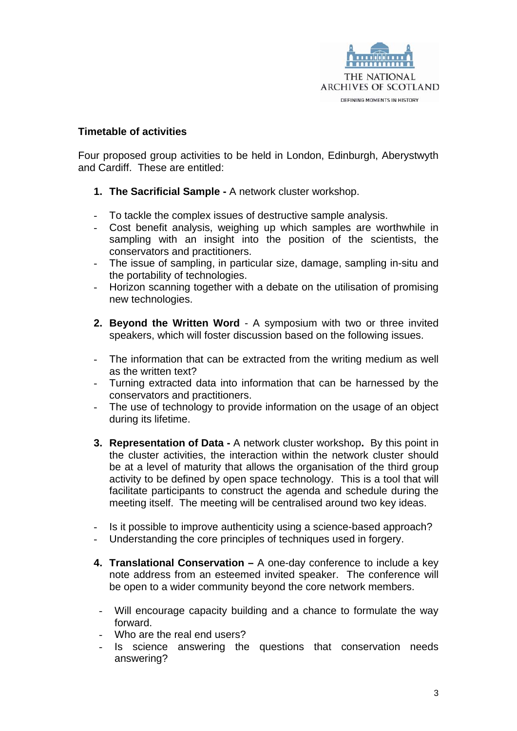

## **Timetable of activities**

Four proposed group activities to be held in London, Edinburgh, Aberystwyth and Cardiff. These are entitled:

- **1. The Sacrificial Sample** A network cluster workshop.
- To tackle the complex issues of destructive sample analysis.
- Cost benefit analysis, weighing up which samples are worthwhile in sampling with an insight into the position of the scientists, the conservators and practitioners.
- The issue of sampling, in particular size, damage, sampling in-situ and the portability of technologies.
- Horizon scanning together with a debate on the utilisation of promising new technologies.
- **2. Beyond the Written Word**  A symposium with two or three invited speakers, which will foster discussion based on the following issues.
- The information that can be extracted from the writing medium as well as the written text?
- Turning extracted data into information that can be harnessed by the conservators and practitioners.
- The use of technology to provide information on the usage of an object during its lifetime.
- **3. Representation of Data** A network cluster workshop**.** By this point in the cluster activities, the interaction within the network cluster should be at a level of maturity that allows the organisation of the third group activity to be defined by open space technology. This is a tool that will facilitate participants to construct the agenda and schedule during the meeting itself. The meeting will be centralised around two key ideas.
- Is it possible to improve authenticity using a science-based approach?
- Understanding the core principles of techniques used in forgery.
- **4. Translational Conservation** A one-day conference to include a key note address from an esteemed invited speaker. The conference will be open to a wider community beyond the core network members.
- Will encourage capacity building and a chance to formulate the way forward.
- Who are the real end users?
- Is science answering the questions that conservation needs answering?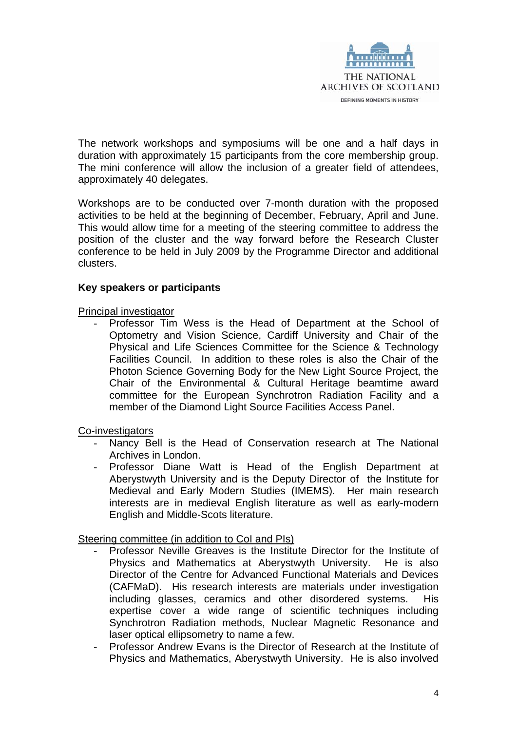

The network workshops and symposiums will be one and a half days in duration with approximately 15 participants from the core membership group. The mini conference will allow the inclusion of a greater field of attendees, approximately 40 delegates.

Workshops are to be conducted over 7-month duration with the proposed activities to be held at the beginning of December, February, April and June. This would allow time for a meeting of the steering committee to address the position of the cluster and the way forward before the Research Cluster conference to be held in July 2009 by the Programme Director and additional clusters.

#### **Key speakers or participants**

Principal investigator

- Professor Tim Wess is the Head of Department at the School of Optometry and Vision Science, Cardiff University and Chair of the Physical and Life Sciences Committee for the Science & Technology Facilities Council. In addition to these roles is also the Chair of the Photon Science Governing Body for the New Light Source Project, the Chair of the Environmental & Cultural Heritage beamtime award committee for the European Synchrotron Radiation Facility and a member of the Diamond Light Source Facilities Access Panel.

Co-investigators

- Nancy Bell is the Head of Conservation research at The National Archives in London.
- Professor Diane Watt is Head of the English Department at Aberystwyth University and is the Deputy Director of the Institute for Medieval and Early Modern Studies (IMEMS). Her main research interests are in medieval English literature as well as early-modern English and Middle-Scots literature.

Steering committee (in addition to CoI and PIs)

- Professor Neville Greaves is the Institute Director for the Institute of Physics and Mathematics at Aberystwyth University. He is also Director of the Centre for Advanced Functional Materials and Devices (CAFMaD). His research interests are materials under investigation including glasses, ceramics and other disordered systems. His expertise cover a wide range of scientific techniques including Synchrotron Radiation methods, Nuclear Magnetic Resonance and laser optical ellipsometry to name a few.
- Professor Andrew Evans is the Director of Research at the Institute of Physics and Mathematics, Aberystwyth University. He is also involved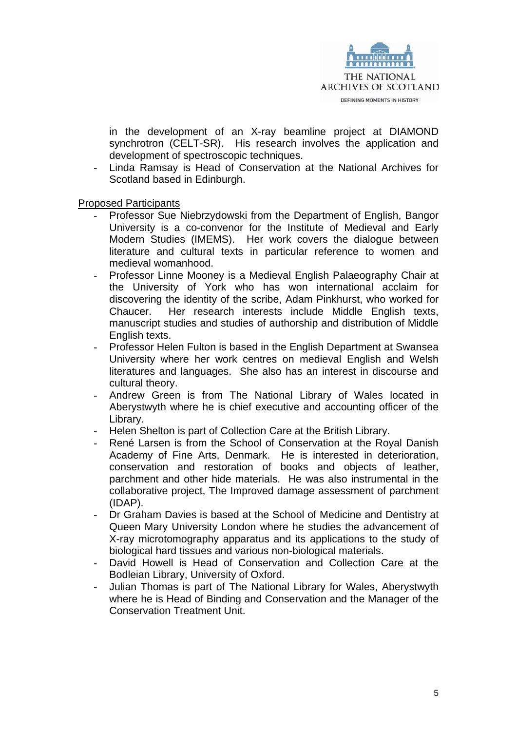

in the development of an X-ray beamline project at DIAMOND synchrotron (CELT-SR). His research involves the application and development of spectroscopic techniques.

- Linda Ramsay is Head of Conservation at the National Archives for Scotland based in Edinburgh.

Proposed Participants

- Professor Sue Niebrzydowski from the Department of English, Bangor University is a co-convenor for the Institute of Medieval and Early Modern Studies (IMEMS). Her work covers the dialogue between literature and cultural texts in particular reference to women and medieval womanhood.
- Professor Linne Mooney is a Medieval English Palaeography Chair at the University of York who has won international acclaim for discovering the identity of the scribe, Adam Pinkhurst, who worked for Chaucer. Her research interests include Middle English texts, manuscript studies and studies of authorship and distribution of Middle English texts.
- Professor Helen Fulton is based in the English Department at Swansea University where her work centres on medieval English and Welsh literatures and languages. She also has an interest in discourse and cultural theory.
- Andrew Green is from The National Library of Wales located in Aberystwyth where he is chief executive and accounting officer of the Library.
- Helen Shelton is part of Collection Care at the British Library.
- René Larsen is from the School of Conservation at the Royal Danish Academy of Fine Arts, Denmark. He is interested in deterioration, conservation and restoration of books and objects of leather, parchment and other hide materials. He was also instrumental in the collaborative project, The Improved damage assessment of parchment (IDAP).
- Dr Graham Davies is based at the School of Medicine and Dentistry at Queen Mary University London where he studies the advancement of X-ray microtomography apparatus and its applications to the study of biological hard tissues and various non-biological materials.
- David Howell is Head of Conservation and Collection Care at the Bodleian Library, University of Oxford.
- Julian Thomas is part of The National Library for Wales, Aberystwyth where he is Head of Binding and Conservation and the Manager of the Conservation Treatment Unit.